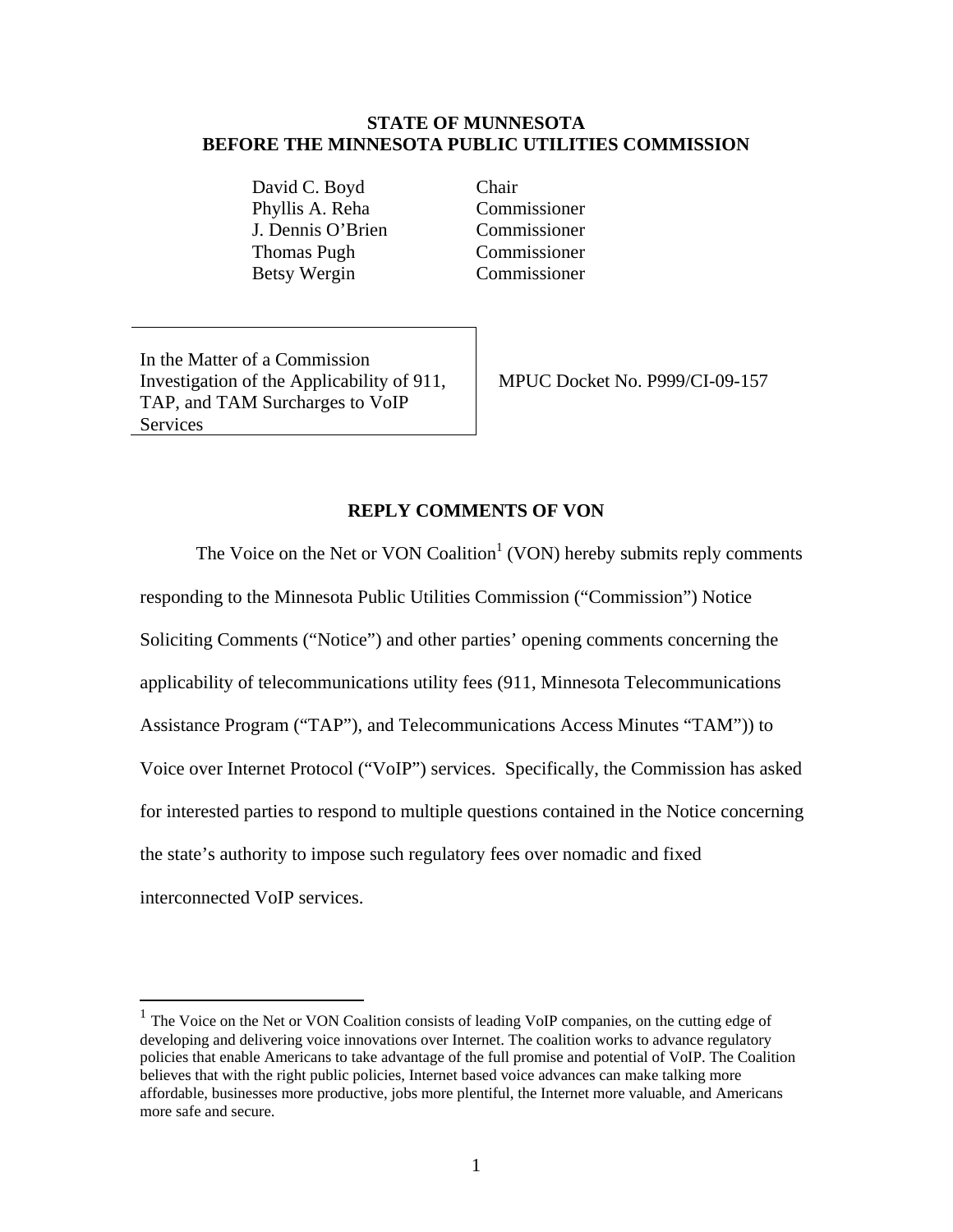#### **STATE OF MUNNESOTA BEFORE THE MINNESOTA PUBLIC UTILITIES COMMISSION**

David C. Boyd Chair Phyllis A. Reha Commissioner J. Dennis O'Brien Commissioner Thomas Pugh Commissioner Betsy Wergin Commissioner

In the Matter of a Commission Investigation of the Applicability of 911, TAP, and TAM Surcharges to VoIP Services

 $\overline{a}$ 

MPUC Docket No. P999/CI-09-157

#### **REPLY COMMENTS OF VON**

The Voice on the Net or VON Coalition<sup>1</sup> (VON) hereby submits reply comments responding to the Minnesota Public Utilities Commission ("Commission") Notice Soliciting Comments ("Notice") and other parties' opening comments concerning the applicability of telecommunications utility fees (911, Minnesota Telecommunications Assistance Program ("TAP"), and Telecommunications Access Minutes "TAM")) to Voice over Internet Protocol ("VoIP") services. Specifically, the Commission has asked for interested parties to respond to multiple questions contained in the Notice concerning the state's authority to impose such regulatory fees over nomadic and fixed interconnected VoIP services.

 $<sup>1</sup>$  The Voice on the Net or VON Coalition consists of leading VoIP companies, on the cutting edge of</sup> developing and delivering voice innovations over Internet. The coalition works to advance regulatory policies that enable Americans to take advantage of the full promise and potential of VoIP. The Coalition believes that with the right public policies, Internet based voice advances can make talking more affordable, businesses more productive, jobs more plentiful, the Internet more valuable, and Americans more safe and secure.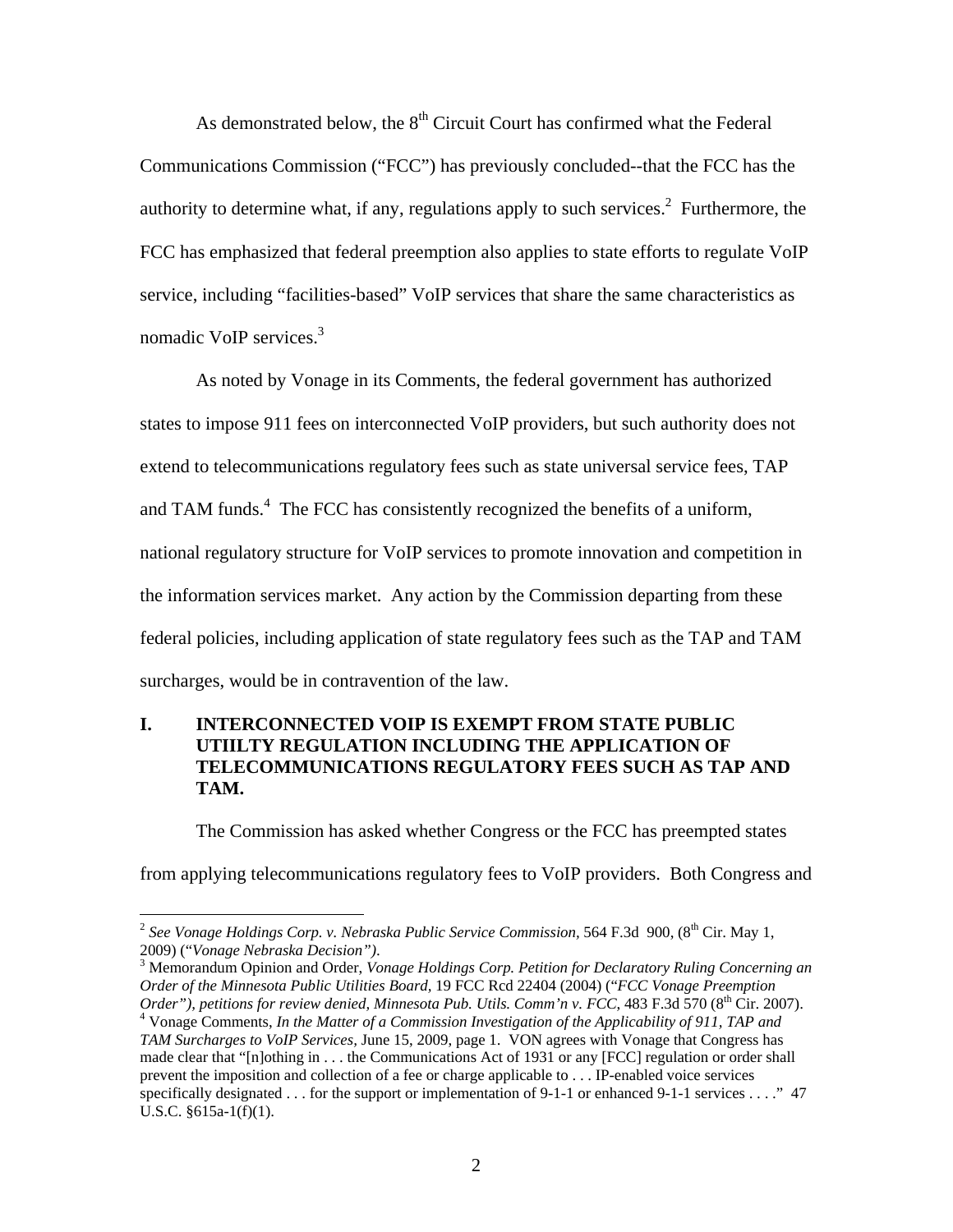As demonstrated below, the  $8<sup>th</sup>$  Circuit Court has confirmed what the Federal Communications Commission ("FCC") has previously concluded--that the FCC has the authority to determine what, if any, regulations apply to such services.<sup>2</sup> Furthermore, the FCC has emphasized that federal preemption also applies to state efforts to regulate VoIP service, including "facilities-based" VoIP services that share the same characteristics as nomadic VoIP services.<sup>3</sup>

As noted by Vonage in its Comments, the federal government has authorized states to impose 911 fees on interconnected VoIP providers, but such authority does not extend to telecommunications regulatory fees such as state universal service fees, TAP and TAM funds.<sup>4</sup> The FCC has consistently recognized the benefits of a uniform, national regulatory structure for VoIP services to promote innovation and competition in the information services market. Any action by the Commission departing from these federal policies, including application of state regulatory fees such as the TAP and TAM surcharges, would be in contravention of the law.

## **I. INTERCONNECTED VOIP IS EXEMPT FROM STATE PUBLIC UTIILTY REGULATION INCLUDING THE APPLICATION OF TELECOMMUNICATIONS REGULATORY FEES SUCH AS TAP AND TAM.**

The Commission has asked whether Congress or the FCC has preempted states

from applying telecommunications regulatory fees to VoIP providers. Both Congress and

<sup>&</sup>lt;sup>2</sup> See Vonage Holdings Corp. v. Nebraska Public Service Commission, 564 F.3d 900, (8<sup>th</sup> Cir. May 1, 2009) ("*Vonage Nebraska Decision")*. 3

Memorandum Opinion and Order, *Vonage Holdings Corp. Petition for Declaratory Ruling Concerning an Order of the Minnesota Public Utilities Board,* 19 FCC Rcd 22404 (2004) ("*FCC Vonage Preemption Order"), petitions for review denied, Minnesota Pub. Utils. Comm'n v. FCC*, 483 F.3d 570 (8<sup>th</sup> Cir. 2007). Vonage Comments, *In the Matter of a Commission Investigation of the Applicability of 911, TAP and TAM Surcharges to VoIP Services,* June 15, 2009, page 1. VON agrees with Vonage that Congress has made clear that "[n]othing in . . . the Communications Act of 1931 or any [FCC] regulation or order shall prevent the imposition and collection of a fee or charge applicable to . . . IP-enabled voice services specifically designated . . . for the support or implementation of 9-1-1 or enhanced 9-1-1 services . . . ." 47 U.S.C. §615a-1(f)(1).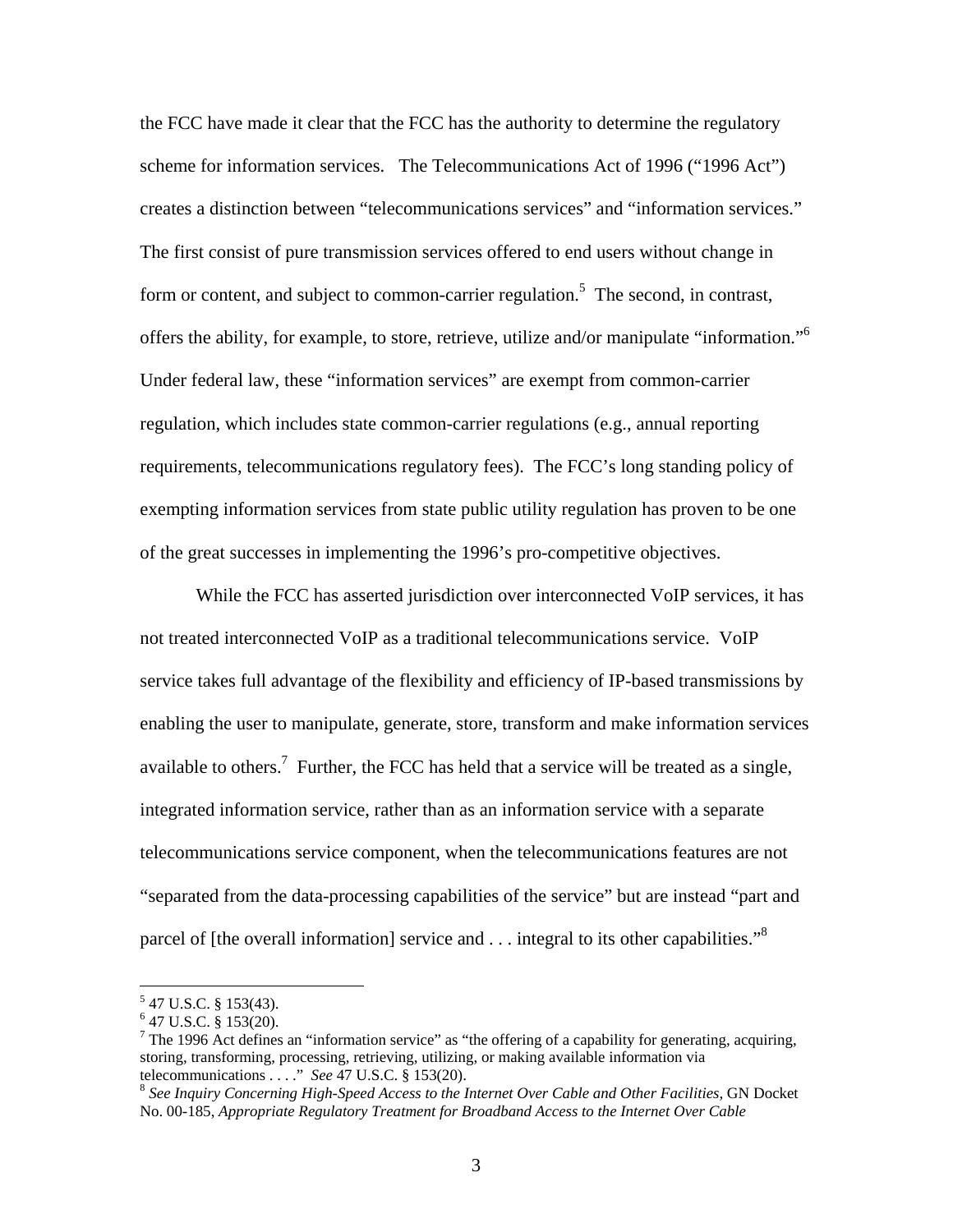the FCC have made it clear that the FCC has the authority to determine the regulatory scheme for information services. The Telecommunications Act of 1996 ("1996 Act") creates a distinction between "telecommunications services" and "information services." The first consist of pure transmission services offered to end users without change in form or content, and subject to common-carrier regulation.<sup>5</sup> The second, in contrast, offers the ability, for example, to store, retrieve, utilize and/or manipulate "information."6 Under federal law, these "information services" are exempt from common-carrier regulation, which includes state common-carrier regulations (e.g., annual reporting requirements, telecommunications regulatory fees). The FCC's long standing policy of exempting information services from state public utility regulation has proven to be one of the great successes in implementing the 1996's pro-competitive objectives.

While the FCC has asserted jurisdiction over interconnected VoIP services, it has not treated interconnected VoIP as a traditional telecommunications service. VoIP service takes full advantage of the flexibility and efficiency of IP-based transmissions by enabling the user to manipulate, generate, store, transform and make information services available to others.<sup>7</sup> Further, the FCC has held that a service will be treated as a single, integrated information service, rather than as an information service with a separate telecommunications service component, when the telecommunications features are not "separated from the data-processing capabilities of the service" but are instead "part and parcel of [the overall information] service and  $\dots$  integral to its other capabilities."<sup>8</sup>

 $5$  47 U.S.C. § 153(43).

 $6$  47 U.S.C. § 153(20).

<sup>&</sup>lt;sup>7</sup> The 1996 Act defines an "information service" as "the offering of a capability for generating, acquiring, storing, transforming, processing, retrieving, utilizing, or making available information via telecommunications . . . ." See 47 U.S.C. § 153(20).

<sup>&</sup>lt;sup>8</sup> See Inquiry Concerning High-Speed Access to the Internet Over Cable and Other Facilities, GN Docket No. 00-185, *Appropriate Regulatory Treatment for Broadband Access to the Internet Over Cable*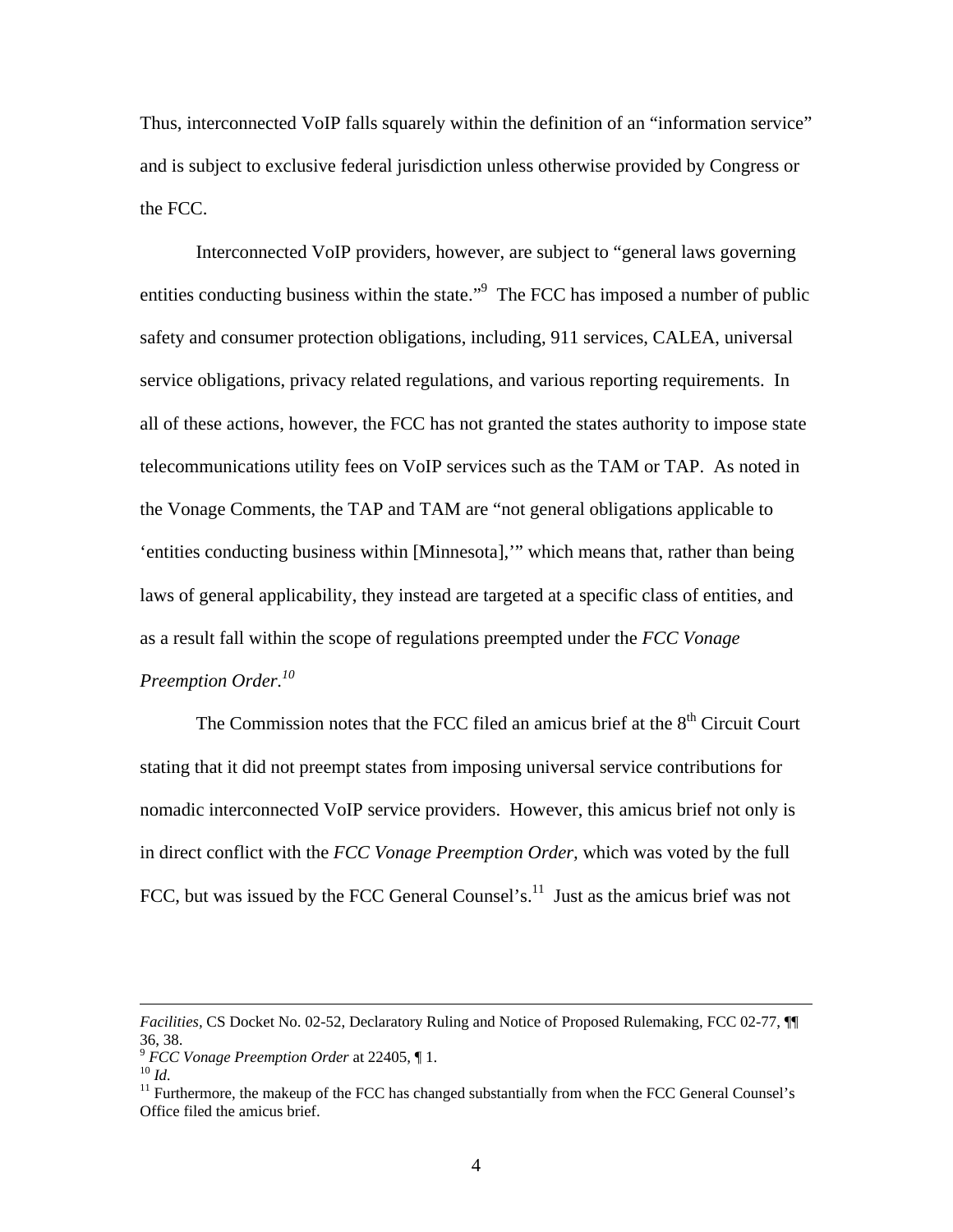Thus, interconnected VoIP falls squarely within the definition of an "information service" and is subject to exclusive federal jurisdiction unless otherwise provided by Congress or the FCC.

Interconnected VoIP providers, however, are subject to "general laws governing entities conducting business within the state."<sup>9</sup> The FCC has imposed a number of public safety and consumer protection obligations, including, 911 services, CALEA, universal service obligations, privacy related regulations, and various reporting requirements. In all of these actions, however, the FCC has not granted the states authority to impose state telecommunications utility fees on VoIP services such as the TAM or TAP. As noted in the Vonage Comments, the TAP and TAM are "not general obligations applicable to 'entities conducting business within [Minnesota],'" which means that, rather than being laws of general applicability, they instead are targeted at a specific class of entities, and as a result fall within the scope of regulations preempted under the *FCC Vonage Preemption Order.10* 

The Commission notes that the FCC filed an amicus brief at the  $8<sup>th</sup>$  Circuit Court stating that it did not preempt states from imposing universal service contributions for nomadic interconnected VoIP service providers. However, this amicus brief not only is in direct conflict with the *FCC Vonage Preemption Order,* which was voted by the full FCC, but was issued by the FCC General Counsel's. $^{11}$  Just as the amicus brief was not

*Facilities,* CS Docket No. 02-52, Declaratory Ruling and Notice of Proposed Rulemaking, FCC 02-77, ¶¶ 36, 38.<br> $\degree$  FCC Vonage Preemption Order at 22405,  $\P$ 1.

<sup>&</sup>lt;sup>10</sup> *Id.* <sup>11</sup> *Id.* <sup>11</sup> Furthermore, the makeup of the FCC has changed substantially from when the FCC General Counsel's <sup>11</sup> Office filed the amicus brief.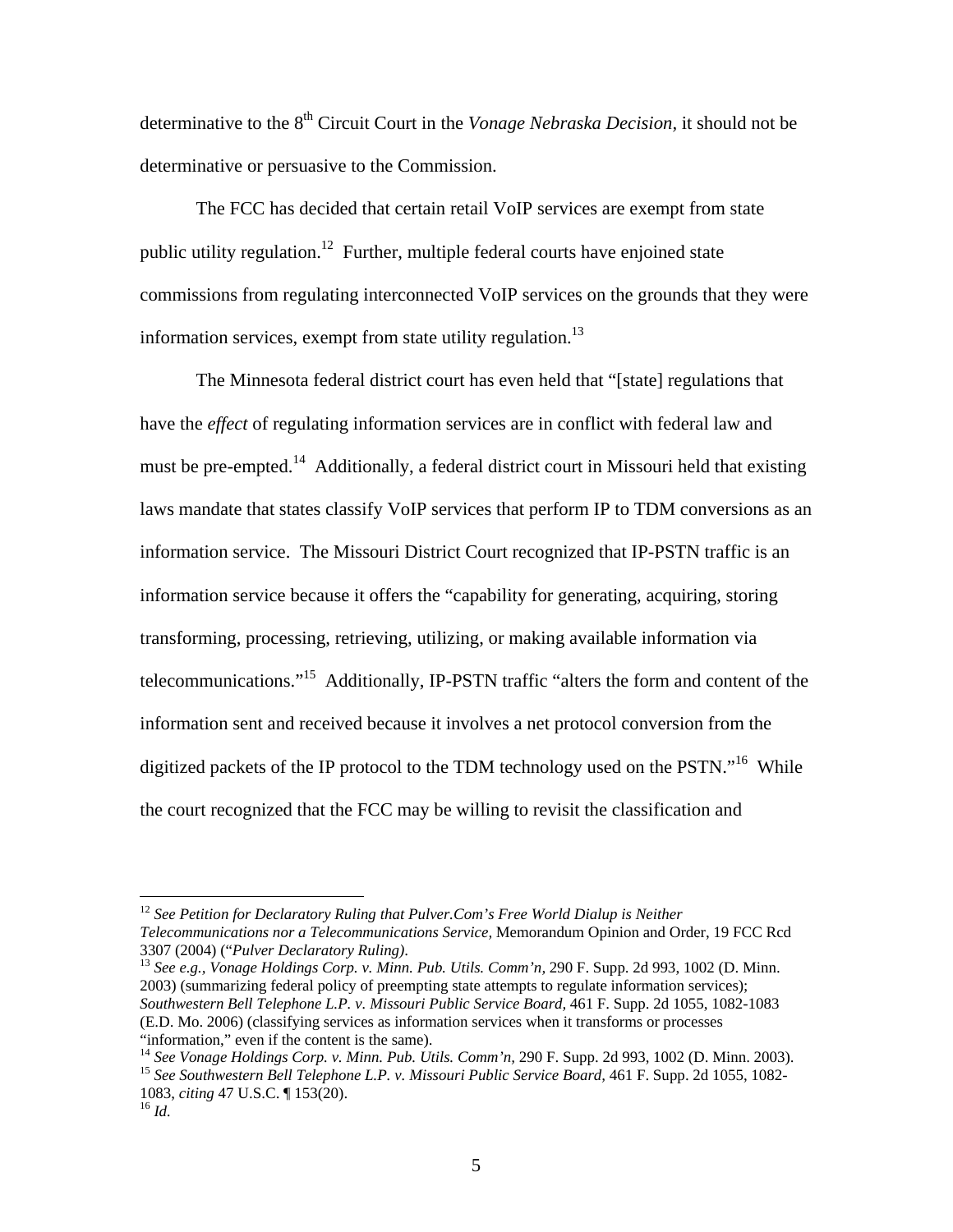determinative to the 8<sup>th</sup> Circuit Court in the *Vonage Nebraska Decision*, it should not be determinative or persuasive to the Commission.

The FCC has decided that certain retail VoIP services are exempt from state public utility regulation.<sup>12</sup> Further, multiple federal courts have enjoined state commissions from regulating interconnected VoIP services on the grounds that they were information services, exempt from state utility regulation. $^{13}$ 

The Minnesota federal district court has even held that "[state] regulations that have the *effect* of regulating information services are in conflict with federal law and must be pre-empted.<sup>14</sup> Additionally, a federal district court in Missouri held that existing laws mandate that states classify VoIP services that perform IP to TDM conversions as an information service. The Missouri District Court recognized that IP-PSTN traffic is an information service because it offers the "capability for generating, acquiring, storing transforming, processing, retrieving, utilizing, or making available information via telecommunications."15 Additionally, IP-PSTN traffic "alters the form and content of the information sent and received because it involves a net protocol conversion from the digitized packets of the IP protocol to the TDM technology used on the PSTN."<sup>16</sup> While the court recognized that the FCC may be willing to revisit the classification and

<sup>13</sup> See e.g., Vonage Holdings Corp. v. Minn. Pub. Utils. Comm'n, 290 F. Supp. 2d 993, 1002 (D. Minn. 2003) (summarizing federal policy of preempting state attempts to regulate information services); *Southwestern Bell Telephone L.P. v. Missouri Public Service Board,* 461 F. Supp. 2d 1055, 1082-1083 (E.D. Mo. 2006) (classifying services as information services when it transforms or processes "information," even if the content is the same).

<sup>&</sup>lt;sup>12</sup> See Petition for Declaratory Ruling that Pulver.Com's Free World Dialup is Neither *Telecommunications nor a Telecommunications Service, Memorandum Opinion and Order, 19 FCC Rcd*<br>3307 (2004) ("*Pulver Declaratory Ruling*).

<sup>14</sup> *See Vonage Holdings Corp. v. Minn. Pub. Utils. Comm'n,* 290 F. Supp. 2d 993, 1002 (D. Minn. 2003).<br><sup>15</sup> *See Southwestern Bell Telephone L.P. v. Missouri Public Service Board*, 461 F. Supp. 2d 1055, 1082-

<sup>1083,</sup> *citing* 47 U.S.C. ¶ 153(20). 16 *Id.*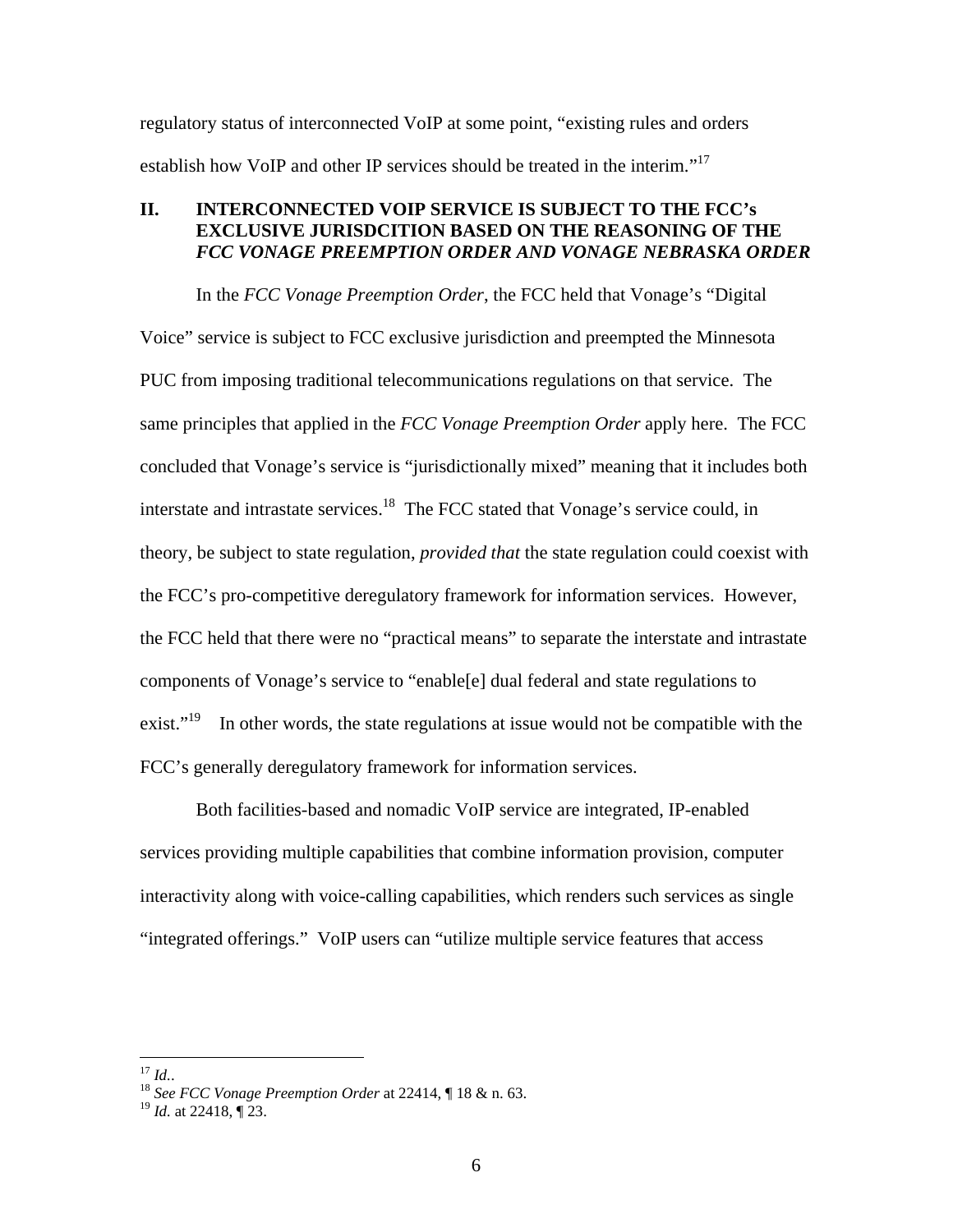regulatory status of interconnected VoIP at some point, "existing rules and orders establish how VoIP and other IP services should be treated in the interim."<sup>17</sup>

## **II. INTERCONNECTED VOIP SERVICE IS SUBJECT TO THE FCC's EXCLUSIVE JURISDCITION BASED ON THE REASONING OF THE**  *FCC VONAGE PREEMPTION ORDER AND VONAGE NEBRASKA ORDER*

In the *FCC Vonage Preemption Order*, the FCC held that Vonage's "Digital Voice" service is subject to FCC exclusive jurisdiction and preempted the Minnesota PUC from imposing traditional telecommunications regulations on that service. The same principles that applied in the *FCC Vonage Preemption Order* apply here. The FCC concluded that Vonage's service is "jurisdictionally mixed" meaning that it includes both interstate and intrastate services.18 The FCC stated that Vonage's service could, in theory, be subject to state regulation, *provided that* the state regulation could coexist with the FCC's pro-competitive deregulatory framework for information services. However, the FCC held that there were no "practical means" to separate the interstate and intrastate components of Vonage's service to "enable[e] dual federal and state regulations to exist."<sup>19</sup> In other words, the state regulations at issue would not be compatible with the FCC's generally deregulatory framework for information services.

Both facilities-based and nomadic VoIP service are integrated, IP-enabled services providing multiple capabilities that combine information provision, computer interactivity along with voice-calling capabilities, which renders such services as single "integrated offerings." VoIP users can "utilize multiple service features that access

 $^{17}$   $Id.$ 

<sup>17</sup> *Id.*. 18 *See FCC Vonage Preemption Order* at 22414, ¶ 18 & n. 63.

<sup>19</sup> *Id.* at 22418, ¶ 23.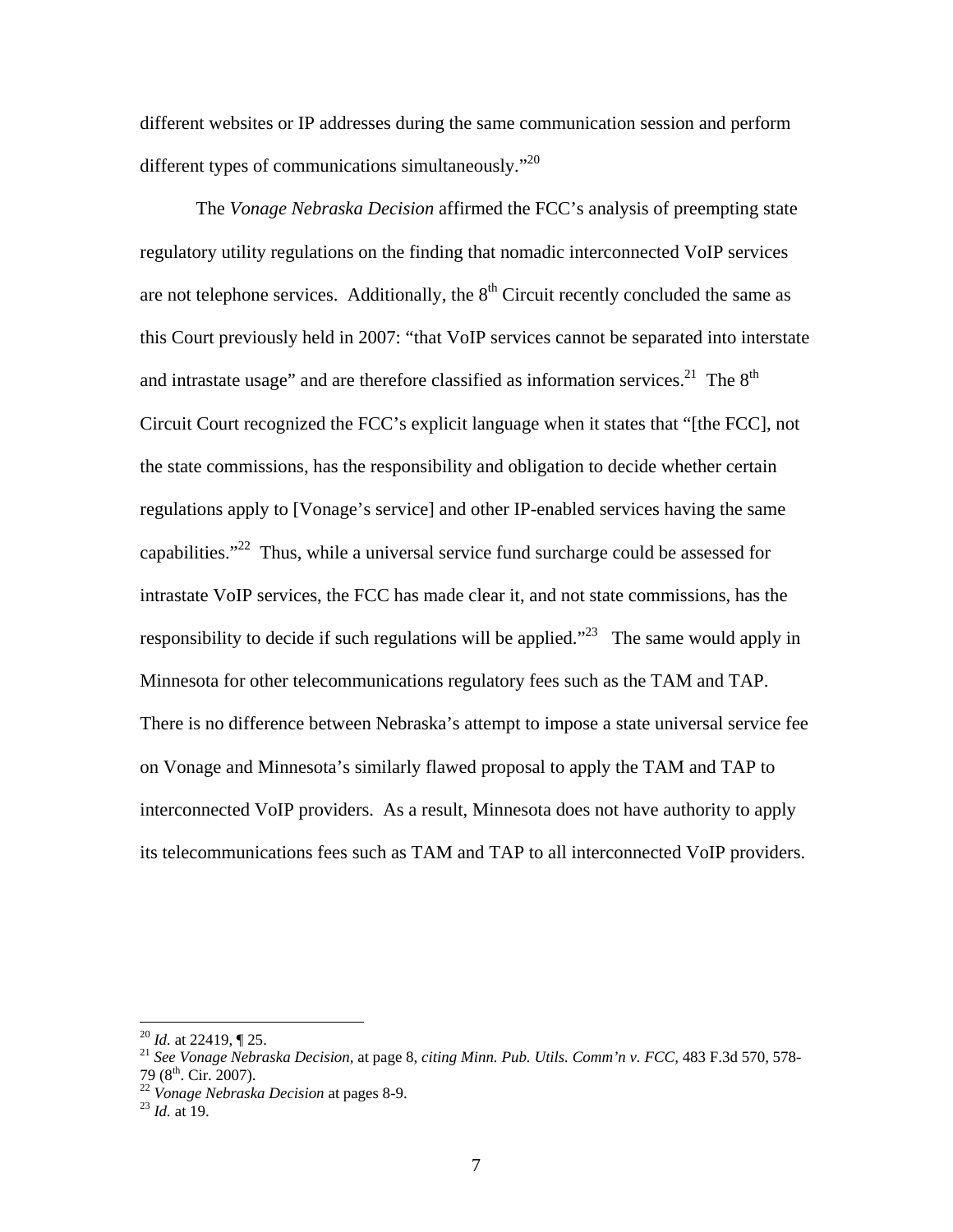different websites or IP addresses during the same communication session and perform different types of communications simultaneously. $"^{20}$ 

The *Vonage Nebraska Decision* affirmed the FCC's analysis of preempting state regulatory utility regulations on the finding that nomadic interconnected VoIP services are not telephone services. Additionally, the  $8<sup>th</sup>$  Circuit recently concluded the same as this Court previously held in 2007: "that VoIP services cannot be separated into interstate and intrastate usage" and are therefore classified as information services.<sup>21</sup> The  $8<sup>th</sup>$ Circuit Court recognized the FCC's explicit language when it states that "[the FCC], not the state commissions, has the responsibility and obligation to decide whether certain regulations apply to [Vonage's service] and other IP-enabled services having the same capabilities."22 Thus, while a universal service fund surcharge could be assessed for intrastate VoIP services, the FCC has made clear it, and not state commissions, has the responsibility to decide if such regulations will be applied."<sup>23</sup> The same would apply in Minnesota for other telecommunications regulatory fees such as the TAM and TAP. There is no difference between Nebraska's attempt to impose a state universal service fee on Vonage and Minnesota's similarly flawed proposal to apply the TAM and TAP to interconnected VoIP providers. As a result, Minnesota does not have authority to apply its telecommunications fees such as TAM and TAP to all interconnected VoIP providers.

<sup>&</sup>lt;sup>20</sup> *Id.* at 22419, ¶ 25.<br><sup>21</sup> *See Vonage Nebraska Decision*, at page 8, *citing Minn. Pub. Utils. Comm'n v. FCC*, 483 F.3d 570, 578-<br>79 (8<sup>th</sup>. Cir. 2007).

<sup>79 (8</sup>th. Cir. 2007). 22 *Vonage Nebraska Decision* at pages 8-9. 23 *Id.* at 19.